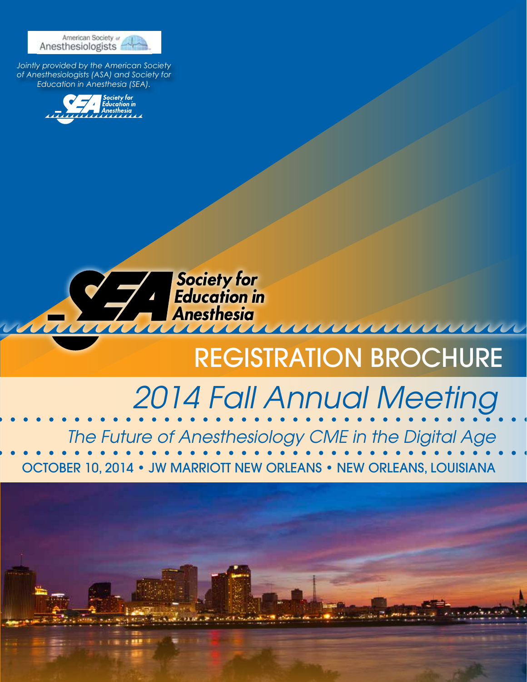

*Jointly provided by the American Society of Anesthesiologists (ASA) and Society for Education in Anesthesia (SEA).*





# REGISTRATION BROCHURE

<u>umi</u>

# *2014 Fall Annual Meeting*

OCTOBER 10, 2014 • JW MARRIOTT NEW ORLEANS • NEW ORLEANS, LOUISIANA *The Future of Anesthesiology CME in the Digital Age*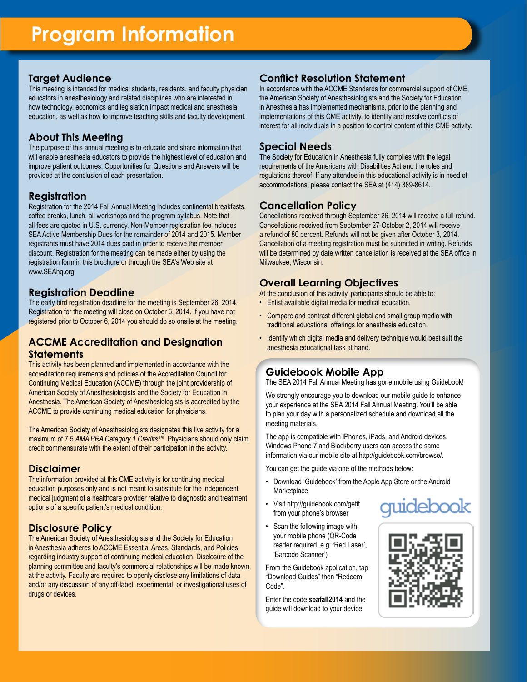### **Target Audience**

This meeting is intended for medical students, residents, and faculty physician educators in anesthesiology and related disciplines who are interested in how technology, economics and legislation impact medical and anesthesia education, as well as how to improve teaching skills and faculty development.

# **About This Meeting**

The purpose of this annual meeting is to educate and share information that will enable anesthesia educators to provide the highest level of education and improve patient outcomes. Opportunities for Questions and Answers will be provided at the conclusion of each presentation.

### **Registration**

Registration for the 2014 Fall Annual Meeting includes continental breakfasts, coffee breaks, lunch, all workshops and the program syllabus. Note that all fees are quoted in U.S. currency. Non-Member registration fee includes SEA Active Membership Dues for the remainder of 2014 and 2015. Member registrants must have 2014 dues paid in order to receive the member discount. Registration for the meeting can be made either by using the registration form in this brochure or through the SEA's Web site at www.SEAhq.org.

### **Registration Deadline**

The early bird registration deadline for the meeting is September 26, 2014. Registration for the meeting will close on October 6, 2014. If you have not registered prior to October 6, 2014 you should do so onsite at the meeting.

### **ACCME Accreditation and Designation Statements**

This activity has been planned and implemented in accordance with the accreditation requirements and policies of the Accreditation Council for Continuing Medical Education (ACCME) through the joint providership of American Society of Anesthesiologists and the Society for Education in Anesthesia. The American Society of Anesthesiologists is accredited by the ACCME to provide continuing medical education for physicians.

The American Society of Anesthesiologists designates this live activity for a maximum of 7.5 *AMA PRA Category 1 Credits™*. Physicians should only claim credit commensurate with the extent of their participation in the activity.

### **Disclaimer**

The information provided at this CME activity is for continuing medical education purposes only and is not meant to substitute for the independent medical judgment of a healthcare provider relative to diagnostic and treatment options of a specific patient's medical condition.

# **Disclosure Policy**

The American Society of Anesthesiologists and the Society for Education in Anesthesia adheres to ACCME Essential Areas, Standards, and Policies regarding industry support of continuing medical education. Disclosure of the planning committee and faculty's commercial relationships will be made known at the activity. Faculty are required to openly disclose any limitations of data and/or any discussion of any off-label, experimental, or investigational uses of drugs or devices.

# **Conflict Resolution Statement**

In accordance with the ACCME Standards for commercial support of CME, the American Society of Anesthesiologists and the Society for Education in Anesthesia has implemented mechanisms, prior to the planning and implementations of this CME activity, to identify and resolve conflicts of interest for all individuals in a position to control content of this CME activity.

### **Special Needs**

The Society for Education in Anesthesia fully complies with the legal requirements of the Americans with Disabilities Act and the rules and regulations thereof. If any attendee in this educational activity is in need of accommodations, please contact the SEA at (414) 389-8614.

### **Cancellation Policy**

Cancellations received through September 26, 2014 will receive a full refund. Cancellations received from September 27-October 2, 2014 will receive a refund of 80 percent. Refunds will not be given after October 3, 2014. Cancellation of a meeting registration must be submitted in writing. Refunds will be determined by date written cancellation is received at the SEA office in Milwaukee, Wisconsin.

### **Overall Learning Objectives**

At the conclusion of this activity, participants should be able to:

- Enlist available digital media for medical education.
- Compare and contrast different global and small group media with traditional educational offerings for anesthesia education.
- Identify which digital media and delivery technique would best suit the anesthesia educational task at hand.

# **Guidebook Mobile App**

The SEA 2014 Fall Annual Meeting has gone mobile using Guidebook!

We strongly encourage you to download our mobile guide to enhance your experience at the SEA 2014 Fall Annual Meeting. You'll be able to plan your day with a personalized schedule and download all the meeting materials.

The app is compatible with iPhones, iPads, and Android devices. Windows Phone 7 and Blackberry users can access the same information via our mobile site at http://guidebook.com/browse/.

You can get the guide via one of the methods below:

- Download 'Guidebook' from the Apple App Store or the Android **Marketplace**
- Visit http://guidebook.com/getit from your phone's browser
- Scan the following image with your mobile phone (QR-Code reader required, e.g. 'Red Laser', 'Barcode Scanner')

From the Guidebook application, tap "Download Guides" then "Redeem Code".

Enter the code **seafall2014** and the guide will download to your device!



uidebook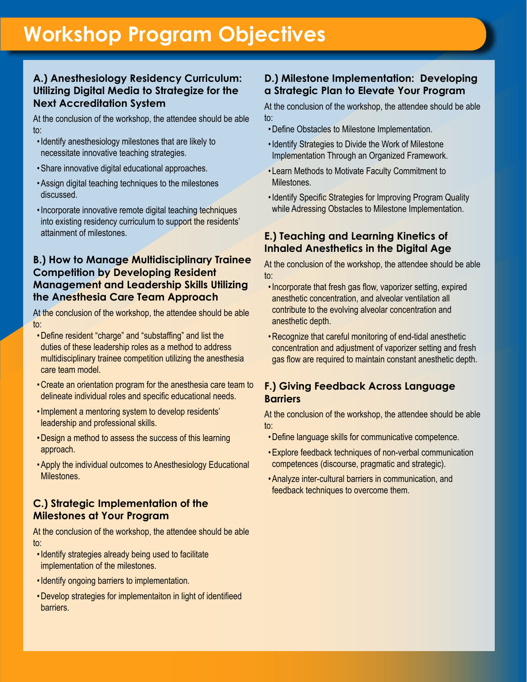# **Workshop Program Objectives**

# **A.) Anesthesiology Residency Curriculum: Utilizing Digital Media to Strategize for the Next Accreditation System**

At the conclusion of the workshop, the attendee should be able to:

- •Identify anesthesiology milestones that are likely to necessitate innovative teaching strategies.
- •Share innovative digital educational approaches.
- •Assign digital teaching techniques to the milestones discussed.
- •Incorporate innovative remote digital teaching techniques into existing residency curriculum to support the residents' attainment of milestones.

# **B.) How to Manage Multidisciplinary Trainee Competition by Developing Resident Management and Leadership Skills Utilizing the Anesthesia Care Team Approach**

At the conclusion of the workshop, the attendee should be able to:

- •Define resident "charge" and "substaffing" and list the duties of these leadership roles as a method to address multidisciplinary trainee competition utilizing the anesthesia care team model.
- •Create an orientation program for the anesthesia care team to delineate individual roles and specific educational needs.
- •Implement a mentoring system to develop residents' leadership and professional skills.
- •Design a method to assess the success of this learning approach.
- •Apply the individual outcomes to Anesthesiology Educational Milestones.

# **C.) Strategic Implementation of the Milestones at Your Program**

At the conclusion of the workshop, the attendee should be able to:

- •Identify strategies already being used to facilitate implementation of the milestones.
- •Identify ongoing barriers to implementation.
- •Develop strategies for implementaiton in light of identifieed barriers.

## **D.) Milestone Implementation: Developing a Strategic Plan to Elevate Your Program**

At the conclusion of the workshop, the attendee should be able to:

- •Define Obstacles to Milestone Implementation.
- •Identify Strategies to Divide the Work of Milestone Implementation Through an Organized Framework.
- Learn Methods to Motivate Faculty Commitment to Milestones.
- •Identify Specific Strategies for Improving Program Quality while Adressing Obstacles to Milestone Implementation.

# **E.) Teaching and Learning Kinetics of Inhaled Anesthetics in the Digital Age**

At the conclusion of the workshop, the attendee should be able to:

- •Incorporate that fresh gas flow, vaporizer setting, expired anesthetic concentration, and alveolar ventilation all contribute to the evolving alveolar concentration and anesthetic depth.
- •Recognize that careful monitoring of end-tidal anesthetic concentration and adjustment of vaporizer setting and fresh gas flow are required to maintain constant anesthetic depth.

# **F.) Giving Feedback Across Language Barriers**

At the conclusion of the workshop, the attendee should be able to:

- •Define language skills for communicative competence.
- •Explore feedback techniques of non-verbal communication competences (discourse, pragmatic and strategic).
- •Analyze inter-cultural barriers in communication, and feedback techniques to overcome them.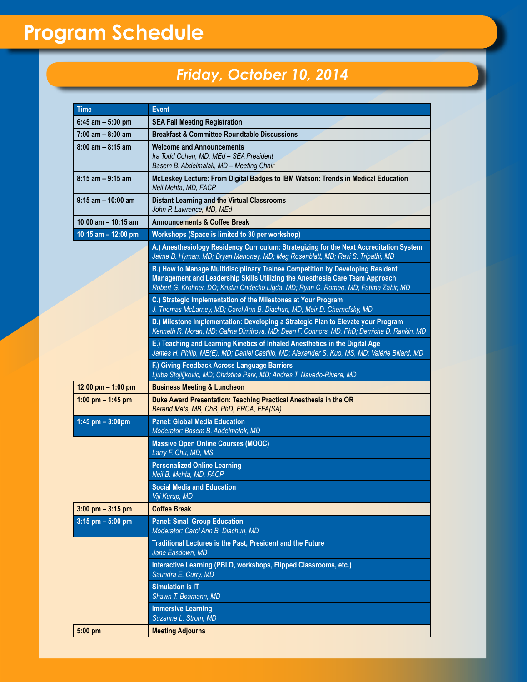# **Program Schedule**

# *Friday, October 10, 2014*

| <b>Time</b>           | <b>Event</b>                                                                                                                                                                                                                                            |
|-----------------------|---------------------------------------------------------------------------------------------------------------------------------------------------------------------------------------------------------------------------------------------------------|
| $6:45$ am $-5:00$ pm  | <b>SEA Fall Meeting Registration</b>                                                                                                                                                                                                                    |
| $7:00$ am $-8:00$ am  | <b>Breakfast &amp; Committee Roundtable Discussions</b>                                                                                                                                                                                                 |
| $8:00$ am $- 8:15$ am | <b>Welcome and Announcements</b><br>Ira Todd Cohen, MD, MEd - SEA President<br>Basem B. Abdelmalak, MD - Meeting Chair                                                                                                                                  |
| $8:15$ am $-9:15$ am  | McLeskey Lecture: From Digital Badges to IBM Watson: Trends in Medical Education<br>Neil Mehta, MD, FACP                                                                                                                                                |
| $9:15$ am $-10:00$ am | <b>Distant Learning and the Virtual Classrooms</b><br>John P. Lawrence, MD, MEd                                                                                                                                                                         |
| 10:00 am - 10:15 am   | <b>Announcements &amp; Coffee Break</b>                                                                                                                                                                                                                 |
| 10:15 am - 12:00 pm   | Workshops (Space is limited to 30 per workshop)                                                                                                                                                                                                         |
|                       | A.) Anesthesiology Residency Curriculum: Strategizing for the Next Accreditation System<br>Jaime B. Hyman, MD; Bryan Mahoney, MD; Meg Rosenblatt, MD; Ravi S. Tripathi, MD                                                                              |
|                       | B.) How to Manage Multidisciplinary Trainee Competition by Developing Resident<br>Management and Leadership Skills Utilizing the Anesthesia Care Team Approach<br>Robert G. Krohner, DO; Kristin Ondecko Ligda, MD; Ryan C. Romeo, MD; Fatima Zahir, MD |
|                       | C.) Strategic Implementation of the Milestones at Your Program<br>J. Thomas McLarney, MD; Carol Ann B. Diachun, MD; Meir D. Chernofsky, MD                                                                                                              |
|                       | D.) Milestone Implementation: Developing a Strategic Plan to Elevate your Program<br>Kenneth R. Moran, MD; Galina Dimitrova, MD; Dean F. Connors, MD, PhD; Demicha D. Rankin, MD                                                                        |
|                       | E.) Teaching and Learning Kinetics of Inhaled Anesthetics in the Digital Age<br>James H. Philip, ME(E), MD; Daniel Castillo, MD; Alexander S. Kuo, MS, MD; Valérie Billard, MD                                                                          |
|                       | F.) Giving Feedback Across Language Barriers<br>Ljuba Stojiljkovic, MD; Christina Park, MD; Andres T. Navedo-Rivera, MD                                                                                                                                 |
| 12:00 pm $-$ 1:00 pm  | <b>Business Meeting &amp; Luncheon</b>                                                                                                                                                                                                                  |
| 1:00 pm $-$ 1:45 pm   | Duke Award Presentation: Teaching Practical Anesthesia in the OR<br>Berend Mets, MB, ChB, PhD, FRCA, FFA(SA)                                                                                                                                            |
| 1:45 pm $-3:00$ pm    | <b>Panel: Global Media Education</b><br>Moderator: Basem B. Abdelmalak, MD                                                                                                                                                                              |
|                       | <b>Massive Open Online Courses (MOOC)</b><br>Larry F. Chu, MD, MS                                                                                                                                                                                       |
|                       | <b>Personalized Online Learning</b><br>Neil B. Mehta, MD, FACP                                                                                                                                                                                          |
|                       | <b>Social Media and Education</b><br>Viji Kurup, MD                                                                                                                                                                                                     |
| $3:00$ pm $-3:15$ pm  | <b>Coffee Break</b>                                                                                                                                                                                                                                     |
| $3:15$ pm $-5:00$ pm  | <b>Panel: Small Group Education</b><br>Moderator: Carol Ann B. Diachun, MD                                                                                                                                                                              |
|                       | Traditional Lectures is the Past, President and the Future<br>Jane Easdown, MD                                                                                                                                                                          |
|                       | Interactive Learning (PBLD, workshops, Flipped Classrooms, etc.)<br>Saundra E. Curry, MD                                                                                                                                                                |
|                       | <b>Simulation is IT</b><br>Shawn T. Beamann, MD                                                                                                                                                                                                         |
|                       | <b>Immersive Learning</b><br>Suzanne L. Strom, MD                                                                                                                                                                                                       |
| 5:00 pm               | <b>Meeting Adjourns</b>                                                                                                                                                                                                                                 |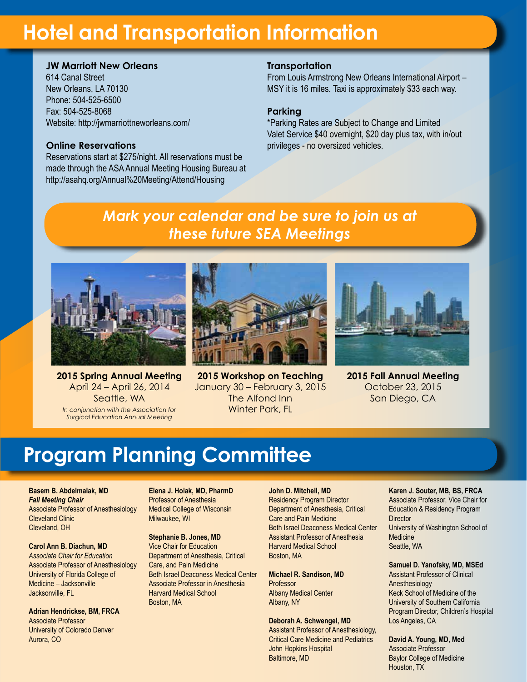# **Hotel and Transportation Information**

# **JW Marriott New Orleans**

614 Canal Street New Orleans, LA 70130 Phone: 504-525-6500 Fax: 504-525-8068 Website: http://jwmarriottneworleans.com/

### **Online Reservations**

Reservations start at \$275/night. All reservations must be made through the ASA Annual Meeting Housing Bureau at http://asahq.org/Annual%20Meeting/Attend/Housing

### **Transportation**

From Louis Armstrong New Orleans International Airport – MSY it is 16 miles. Taxi is approximately \$33 each way.

### **Parking**

\*Parking Rates are Subject to Change and Limited Valet Service \$40 overnight, \$20 day plus tax, with in/out privileges - no oversized vehicles.

# *Mark your calendar and be sure to join us at these future SEA Meetings*



**2015 Spring Annual Meeting** April 24 – April 26, 2014 Seattle, WA *In conjunction with the Association for Surgical Education Annual Meeting*



**2015 Workshop on Teaching**  January 30 – February 3, 2015 The Alfond Inn Winter Park, FL



**2015 Fall Annual Meeting**  October 23, 2015 San Diego, CA

# **Program Planning Committee**

**Basem B. Abdelmalak, MD** *Fall Meeting Chair*  Associate Professor of Anesthesiology Cleveland Clinic Cleveland, OH

**Carol Ann B. Diachun, MD** *Associate Chair for Education* Associate Professor of Anesthesiology University of Florida College of Medicine – Jacksonville Jacksonville, FL

**Adrian Hendrickse, BM, FRCA** Associate Professor University of Colorado Denver Aurora, CO

**Elena J. Holak, MD, PharmD** Professor of Anesthesia Medical College of Wisconsin Milwaukee, WI

#### **Stephanie B. Jones, MD** Vice Chair for Education Department of Anesthesia, Critical Care, and Pain Medicine Beth Israel Deaconess Medical Center Associate Professor in Anesthesia Harvard Medical School Boston, MA

#### **John D. Mitchell, MD**

Residency Program Director Department of Anesthesia, Critical Care and Pain Medicine Beth Israel Deaconess Medical Center Assistant Professor of Anesthesia Harvard Medical School Boston, MA

**Michael R. Sandison, MD** Professor Albany Medical Center Albany, NY

#### **Deborah A. Schwengel, MD**

Assistant Professor of Anesthesiology, Critical Care Medicine and Pediatrics John Hopkins Hospital Baltimore, MD

#### **Karen J. Souter, MB, BS, FRCA**

Associate Professor, Vice Chair for Education & Residency Program **Director** University of Washington School of **Medicine** Seattle, WA

#### **Samuel D. Yanofsky, MD, MSEd**

Assistant Professor of Clinical Anesthesiology Keck School of Medicine of the University of Southern California Program Director, Children's Hospital Los Angeles, CA

**David A. Young, MD, Med** Associate Professor Baylor College of Medicine Houston, TX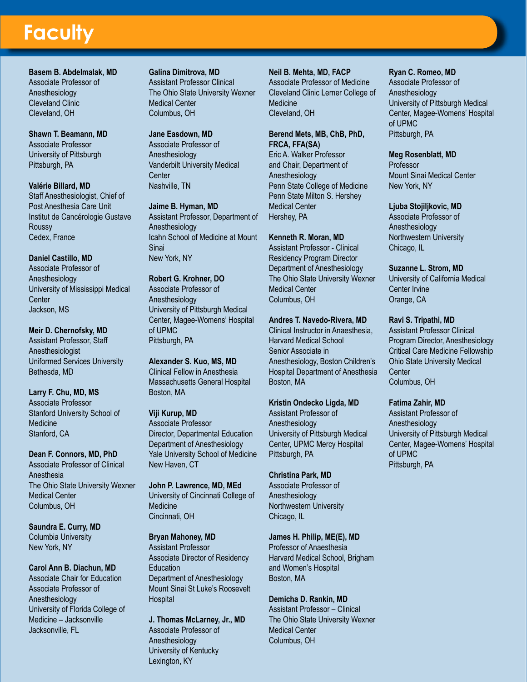# **Faculty**

**Basem B. Abdelmalak, MD** Associate Professor of Anesthesiology Cleveland Clinic Cleveland, OH

**Shawn T. Beamann, MD** Associate Professor University of Pittsburgh Pittsburgh, PA

#### **Valérie Billard, MD** Staff Anesthesiologist, Chief of Post Anesthesia Care Unit Institut de Cancérologie Gustave Roussy Cedex, France

**Daniel Castillo, MD** Associate Professor of Anesthesiology University of Mississippi Medical **Center** Jackson, MS

**Meir D. Chernofsky, MD** Assistant Professor, Staff Anesthesiologist Uniformed Services University Bethesda, MD

**Larry F. Chu, MD, MS** Associate Professor Stanford University School of Medicine Stanford, CA

**Dean F. Connors, MD, PhD** Associate Professor of Clinical Anesthesia The Ohio State University Wexner Medical Center Columbus, OH

**Saundra E. Curry, MD** Columbia University New York, NY

### **Carol Ann B. Diachun, MD** Associate Chair for Education Associate Professor of Anesthesiology University of Florida College of Medicine – Jacksonville Jacksonville, FL

### **Galina Dimitrova, MD**

Assistant Professor Clinical The Ohio State University Wexner Medical Center Columbus, OH

### **Jane Easdown, MD**

Associate Professor of Anesthesiology Vanderbilt University Medical **Center** Nashville, TN

**Jaime B. Hyman, MD** Assistant Professor, Department of Anesthesiology Icahn School of Medicine at Mount Sinai New York, NY

**Robert G. Krohner, DO** Associate Professor of Anesthesiology University of Pittsburgh Medical Center, Magee-Womens' Hospital of UPMC Pittsburgh, PA

**Alexander S. Kuo, MS, MD** Clinical Fellow in Anesthesia Massachusetts General Hospital Boston, MA

#### **Viji Kurup, MD** Associate Professor Director, Departmental Education Department of Anesthesiology Yale University School of Medicine

New Haven, CT **John P. Lawrence, MD, MEd**

University of Cincinnati College of **Medicine** Cincinnati, OH

**Bryan Mahoney, MD** Assistant Professor Associate Director of Residency **Education** Department of Anesthesiology Mount Sinai St Luke's Roosevelt **Hospital** 

**J. Thomas McLarney, Jr., MD** Associate Professor of Anesthesiology University of Kentucky Lexington, KY

**Neil B. Mehta, MD, FACP** Associate Professor of Medicine Cleveland Clinic Lerner College of Medicine Cleveland, OH

#### **Berend Mets, MB, ChB, PhD, FRCA, FFA(SA)** Eric A. Walker Professor

and Chair, Department of Anesthesiology Penn State College of Medicine Penn State Milton S. Hershey Medical Center Hershey, PA

### **Kenneth R. Moran, MD**

Assistant Professor - Clinical Residency Program Director Department of Anesthesiology The Ohio State University Wexner Medical Center Columbus, OH

### **Andres T. Navedo-Rivera, MD**

Clinical Instructor in Anaesthesia, Harvard Medical School Senior Associate in Anesthesiology, Boston Children's Hospital Department of Anesthesia Boston, MA

### **Kristin Ondecko Ligda, MD**

Assistant Professor of Anesthesiology University of Pittsburgh Medical Center, UPMC Mercy Hospital Pittsburgh, PA

### **Christina Park, MD**

Associate Professor of Anesthesiology Northwestern University Chicago, IL

### **James H. Philip, ME(E), MD**

Professor of Anaesthesia Harvard Medical School, Brigham and Women's Hospital Boston, MA

**Demicha D. Rankin, MD**

Assistant Professor – Clinical The Ohio State University Wexner Medical Center Columbus, OH

### **Ryan C. Romeo, MD**

Associate Professor of Anesthesiology University of Pittsburgh Medical Center, Magee-Womens' Hospital of UPMC Pittsburgh, PA

### **Meg Rosenblatt, MD**

Professor Mount Sinai Medical Center New York, NY

### **Ljuba Stojiljkovic, MD**

Associate Professor of Anesthesiology Northwestern University Chicago, IL

**Suzanne L. Strom, MD**

University of California Medical Center Irvine Orange, CA

### **Ravi S. Tripathi, MD**

Assistant Professor Clinical Program Director, Anesthesiology Critical Care Medicine Fellowship Ohio State University Medical **Center** Columbus, OH

**Fatima Zahir, MD**

Assistant Professor of Anesthesiology University of Pittsburgh Medical Center, Magee-Womens' Hospital of UPMC Pittsburgh, PA